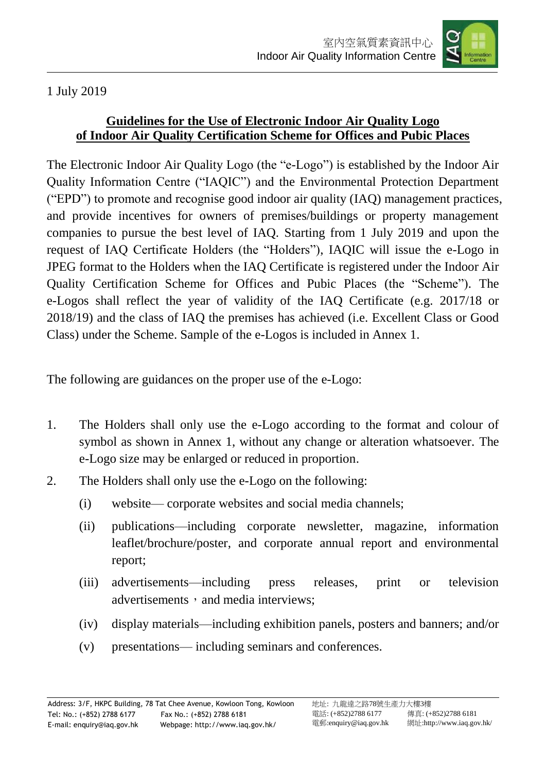

1 July 2019

 $\overline{a}$ 

## **Guidelines for the Use of Electronic Indoor Air Quality Logo of Indoor Air Quality Certification Scheme for Offices and Pubic Places**

The Electronic Indoor Air Quality Logo (the "e-Logo") is established by the Indoor Air Quality Information Centre ("IAQIC") and the Environmental Protection Department ("EPD") to promote and recognise good indoor air quality (IAQ) management practices, and provide incentives for owners of premises/buildings or property management companies to pursue the best level of IAQ. Starting from 1 July 2019 and upon the request of IAQ Certificate Holders (the "Holders"), IAQIC will issue the e-Logo in JPEG format to the Holders when the IAQ Certificate is registered under the Indoor Air Quality Certification Scheme for Offices and Pubic Places (the "Scheme"). The e-Logos shall reflect the year of validity of the IAQ Certificate (e.g. 2017/18 or 2018/19) and the class of IAQ the premises has achieved (i.e. Excellent Class or Good Class) under the Scheme. Sample of the e-Logos is included in Annex 1.

The following are guidances on the proper use of the e-Logo:

- 1. The Holders shall only use the e-Logo according to the format and colour of symbol as shown in Annex 1, without any change or alteration whatsoever. The e-Logo size may be enlarged or reduced in proportion.
- 2. The Holders shall only use the e-Logo on the following:
	- (i) website— corporate websites and social media channels;
	- (ii) publications—including corporate newsletter, magazine, information leaflet/brochure/poster, and corporate annual report and environmental report;
	- (iii) advertisements—including press releases, print or television advertisements, and media interviews:
	- (iv) display materials—including exhibition panels, posters and banners; and/or

(v) presentations— including seminars and conferences.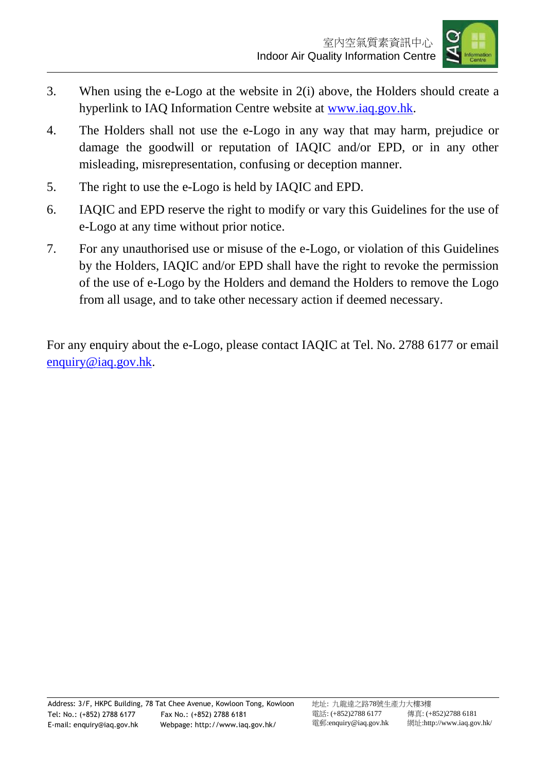

- 3. When using the e-Logo at the website in 2(i) above, the Holders should create a hyperlink to IAQ Information Centre website at [www.iaq.gov.hk.](http://www.iaq.gov.hk/)
- 4. The Holders shall not use the e-Logo in any way that may harm, prejudice or damage the goodwill or reputation of IAQIC and/or EPD, or in any other misleading, misrepresentation, confusing or deception manner.
- 5. The right to use the e-Logo is held by IAQIC and EPD.

 $\overline{a}$ 

- 6. IAQIC and EPD reserve the right to modify or vary this Guidelines for the use of e-Logo at any time without prior notice.
- 7. For any unauthorised use or misuse of the e-Logo, or violation of this Guidelines by the Holders, IAQIC and/or EPD shall have the right to revoke the permission of the use of e-Logo by the Holders and demand the Holders to remove the Logo from all usage, and to take other necessary action if deemed necessary.

For any enquiry about the e-Logo, please contact IAQIC at Tel. No. 2788 6177 or email [enquiry@iaq.gov.hk.](mailto:enquiry@iaq.gov.hk)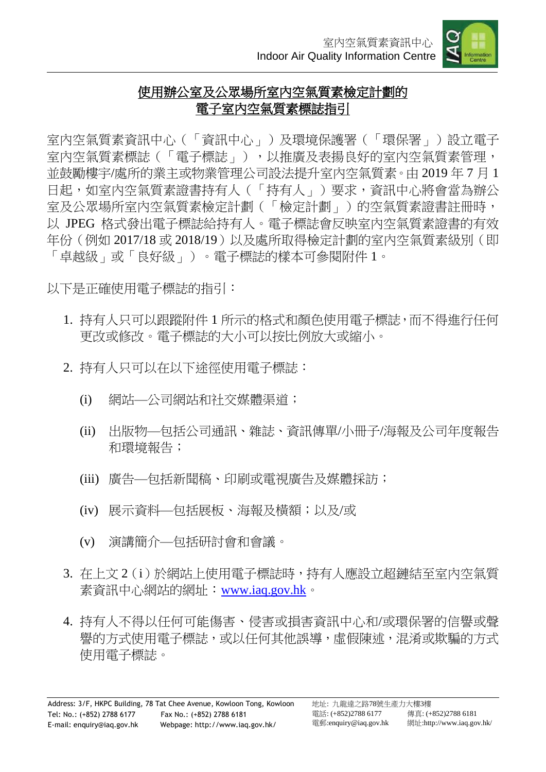

## 使用辦公室及公眾場所室內空氣質素檢定計劃的 電子室內空氣質素標誌指引

室內空氣質素資訊中心(「資訊中心」)及環境保護署(「環保署」)設立電子 室內空氣質素標誌(「電子標誌」),以推廣及表揚良好的室內空氣質素管理, 並鼓勵樓宇/處所的業主或物業管理公司設法提升室內空氣質素。由 2019 年 7 月 1 日起,如室內空氣質素證書持有人(「持有人」)要求,資訊中心將會當為辦公 室及公眾場所室內空氣質素檢定計劃(「檢定計劃」)的空氣質素證書註冊時, 以 JPEG 格式發出電子標誌給持有人。電子標誌會反映室內空氣質素證書的有效 年份(例如 2017/18 或 2018/19)以及處所取得檢定計劃的室內空氣質素級別(即 「卓越級」或「良好級」)。電子標誌的樣本可參閱附件 1。

以下是正確使用電子標誌的指引:

 $\overline{a}$ 

- 1. 持有人只可以跟蹤附件 1 所示的格式和顏色使用電子標誌,而不得進行任何 更改或修改。電子標誌的大小可以按比例放大或縮小。
- 2. 持有人只可以在以下途徑使用電子標誌:
	- (i) 網站—公司網站和社交媒體渠道;
	- (ii) 出版物—包括公司通訊、雜誌、資訊傳單/小冊子/海報及公司年度報告 和環境報告;
	- (iii) 廣告—包括新聞稿、印刷或電視廣告及媒體採訪;
	- (iv) 展示資料—包括展板、海報及橫額;以及/或
	- (v) 演講簡介—包括研討會和會議。
- 3. 在上文 2(i)於網站上使用電子標誌時,持有人應設立超鏈結至室內空氣質 素資訊中心網站的網址:[www.iaq.gov.hk](http://www.iaq.gov.hk/)。
- 4. 持有人不得以任何可能傷害、侵害或損害資訊中心和/或環保署的信譽或聲 譽的方式使用電子標誌,或以任何其他誤導,虛假陳述,混淆或欺騙的方式 使用電子標誌。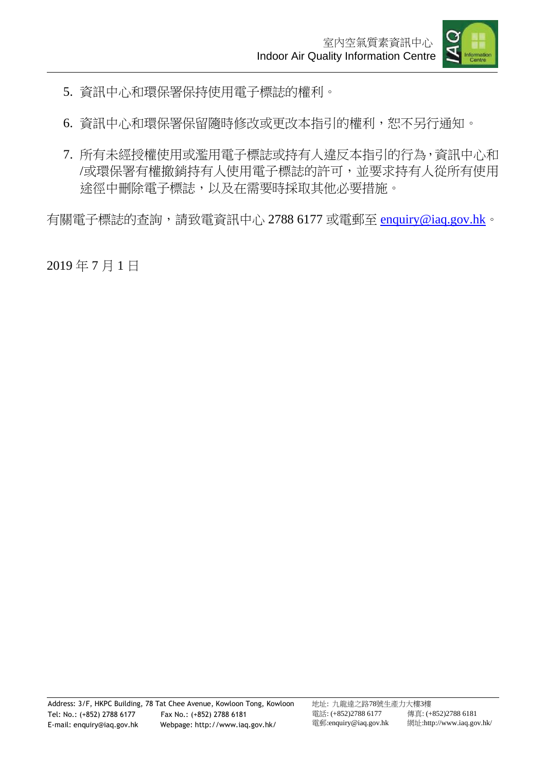

- 5. 資訊中心和環保署保持使用電子標誌的權利。
- 6. 資訊中心和環保署保留隨時修改或更改本指引的權利,恕不另行通知。
- 7. 所有未經授權使用或濫用電子標誌或持有人違反本指引的行為,資訊中心和 /或環保署有權撤銷持有人使用電子標誌的許可,並要求持有人從所有使用 途徑中刪除電子標誌,以及在需要時採取其他必要措施。

有關電子標誌的查詢,請致電資訊中心 2788 6177 或電郵至 [enquiry@iaq.gov.hk](mailto:enquiry@iaq.gov.hk)。

2019 年 7 月 1 日

 $\overline{a}$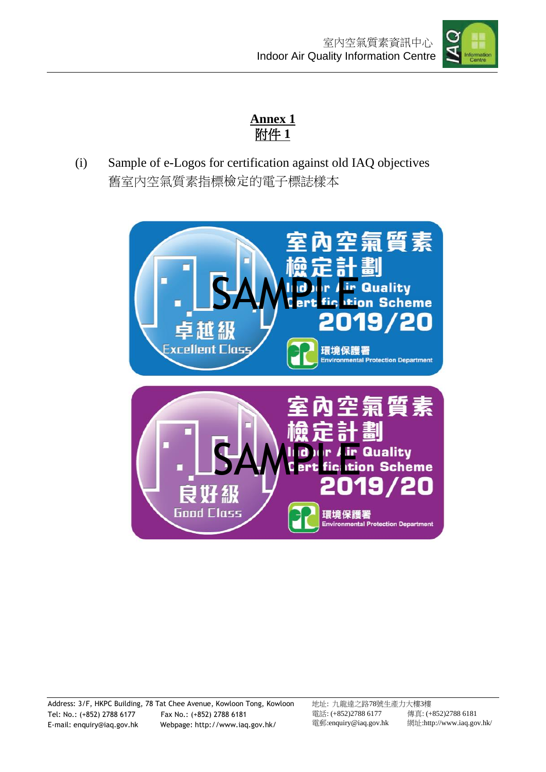

## **Annex 1** 附件 **1**

(i) Sample of e-Logos for certification against old IAQ objectives 舊室內空氣質素指標檢定的電子標誌樣本



 $\overline{a}$ 

Address: 3/F, HKPC Building, 78 Tat Chee Avenue, Kowloon Tong, Kowloon